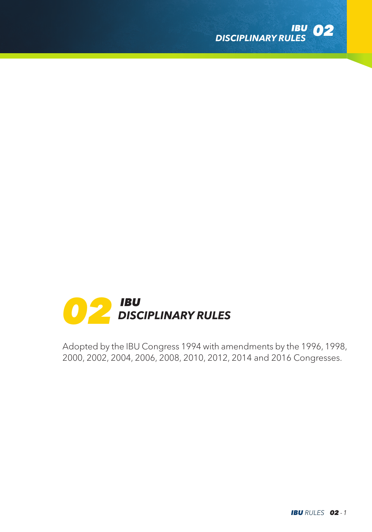



Adopted by the IBU Congress 1994 with amendments by the 1996, 1998, 2000, 2002, 2004, 2006, 2008, 2010, 2012, 2014 and 2016 Congresses.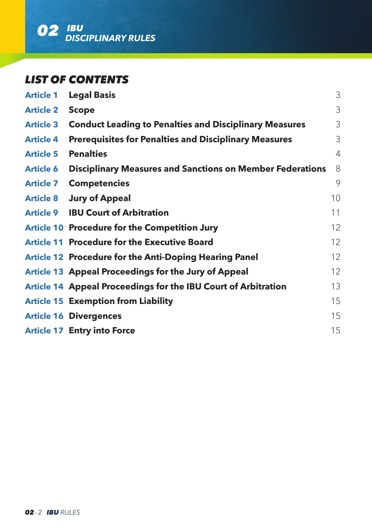

# *LIST OF CONTENTS*

| <b>Article 1</b> | <b>Legal Basis</b>                                               | 3  |
|------------------|------------------------------------------------------------------|----|
| <b>Article 2</b> | <b>Scope</b>                                                     | 3  |
| <b>Article 3</b> | <b>Conduct Leading to Penalties and Disciplinary Measures</b>    | 3  |
| <b>Article 4</b> | <b>Prerequisites for Penalties and Disciplinary Measures</b>     | 3  |
| <b>Article 5</b> | <b>Penalties</b>                                                 | 4  |
| <b>Article 6</b> | <b>Disciplinary Measures and Sanctions on Member Federations</b> | 8  |
| <b>Article 7</b> | <b>Competencies</b>                                              | 9  |
|                  | <b>Article 8 Jury of Appeal</b>                                  | 10 |
| <b>Article 9</b> | <b>IBU Court of Arbitration</b>                                  | 11 |
|                  | <b>Article 10 Procedure for the Competition Jury</b>             | 12 |
|                  | <b>Article 11 Procedure for the Executive Board</b>              | 12 |
|                  | Article 12 Procedure for the Anti-Doping Hearing Panel           | 12 |
|                  | Article 13 Appeal Proceedings for the Jury of Appeal             | 12 |
|                  | Article 14 Appeal Proceedings for the IBU Court of Arbitration   | 13 |
|                  | <b>Article 15 Exemption from Liability</b>                       | 15 |
|                  | <b>Article 16 Divergences</b>                                    | 15 |
|                  | <b>Article 17 Entry into Force</b>                               | 15 |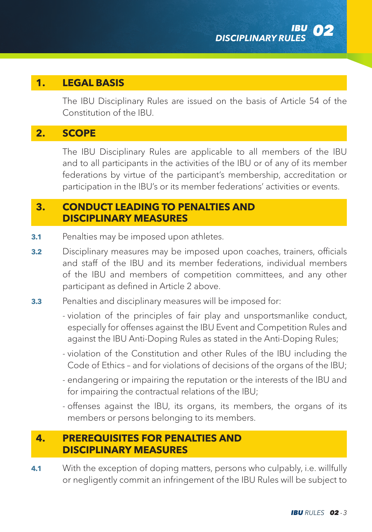### **1. LEGAL BASIS**

 The IBU Disciplinary Rules are issued on the basis of Article 54 of the Constitution of the IBU.

# **2. SCOPE**

 The IBU Disciplinary Rules are applicable to all members of the IBU and to all participants in the activities of the IBU or of any of its member federations by virtue of the participant's membership, accreditation or participation in the IBU's or its member federations' activities or events.

## **3. CONDUCT LEADING TO PENALTIES AND DISCIPLINARY MEASURES**

- **3.1** Penalties may be imposed upon athletes.
- **3.2** Disciplinary measures may be imposed upon coaches, trainers, officials and staff of the IBU and its member federations, individual members of the IBU and members of competition committees, and any other participant as defined in Article 2 above.
- **3.3** Penalties and disciplinary measures will be imposed for:
	- violation of the principles of fair play and unsportsmanlike conduct, especially for offenses against the IBU Event and Competition Rules and against the IBU Anti-Doping Rules as stated in the Anti-Doping Rules;
	- violation of the Constitution and other Rules of the IBU including the Code of Ethics – and for violations of decisions of the organs of the IBU;
	- endangering or impairing the reputation or the interests of the IBU and for impairing the contractual relations of the IBU;
	- offenses against the IBU, its organs, its members, the organs of its members or persons belonging to its members.

## **4. PREREQUISITES FOR PENALTIES AND DISCIPLINARY MEASURES**

**4.1** With the exception of doping matters, persons who culpably, i.e. willfully or negligently commit an infringement of the IBU Rules will be subject to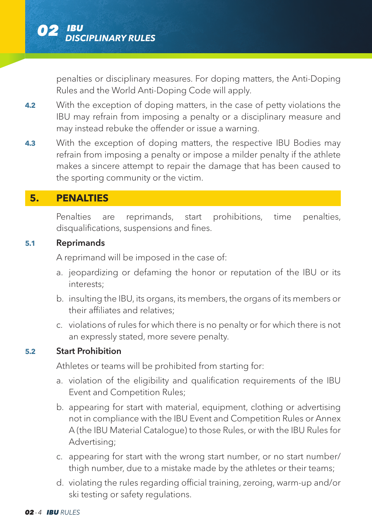

penalties or disciplinary measures. For doping matters, the Anti-Doping Rules and the World Anti-Doping Code will apply.

- **4.2** With the exception of doping matters, in the case of petty violations the IBU may refrain from imposing a penalty or a disciplinary measure and may instead rebuke the offender or issue a warning.
- **4.3** With the exception of doping matters, the respective IBU Bodies may refrain from imposing a penalty or impose a milder penalty if the athlete makes a sincere attempt to repair the damage that has been caused to the sporting community or the victim.

# **5. PENALTIES**

Penalties are reprimands, start prohibitions, time penalties, disqualifications, suspensions and fines.

#### **5.1** Reprimands

A reprimand will be imposed in the case of:

- a. jeopardizing or defaming the honor or reputation of the IBU or its interests;
- b. insulting the IBU, its organs, its members, the organs of its members or their affiliates and relatives;
- c. violations of rules for which there is no penalty or for which there is not an expressly stated, more severe penalty.

### **5.2** Start Prohibition

Athletes or teams will be prohibited from starting for:

- a. violation of the eligibility and qualification requirements of the IBU Event and Competition Rules;
- b. appearing for start with material, equipment, clothing or advertising not in compliance with the IBU Event and Competition Rules or Annex A (the IBU Material Catalogue) to those Rules, or with the IBU Rules for Advertising;
- c. appearing for start with the wrong start number, or no start number/ thigh number, due to a mistake made by the athletes or their teams;
- d. violating the rules regarding official training, zeroing, warm-up and/or ski testing or safety regulations.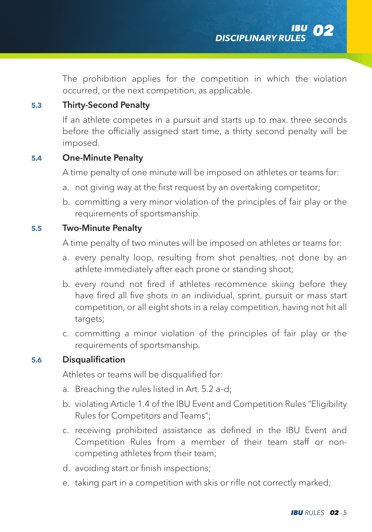The prohibition applies for the competition in which the violation occurred, or the next competition, as applicable.

### **5.3** Thirty-Second Penalty

If an athlete competes in a pursuit and starts up to max. three seconds before the officially assigned start time, a thirty second penalty will be imposed.

### **5.4** One-Minute Penalty

A time penalty of one minute will be imposed on athletes or teams for:

- a. not giving way at the first request by an overtaking competitor;
- b. committing a very minor violation of the principles of fair play or the requirements of sportsmanship.

#### **5.5** Two-Minute Penalty

A time penalty of two minutes will be imposed on athletes or teams for:

- a. every penalty loop, resulting from shot penalties, not done by an athlete immediately after each prone or standing shoot;
- b. every round not fired if athletes recommence skiing before they have fired all five shots in an individual, sprint, pursuit or mass start competition, or all eight shots in a relay competition, having not hit all targets;
- c. committing a minor violation of the principles of fair play or the requirements of sportsmanship.

### **5.6** Disqualification

Athletes or teams will be disqualified for:

- a. Breaching the rules listed in Art. 5.2 a–d;
- b. violating Article 1.4 of the IBU Event and Competition Rules "Eligibility Rules for Competitors and Teams";
- c. receiving prohibited assistance as defined in the IBU Event and Competition Rules from a member of their team staff or noncompeting athletes from their team;
- d. avoiding start or finish inspections;
- e. taking part in a competition with skis or rifle not correctly marked;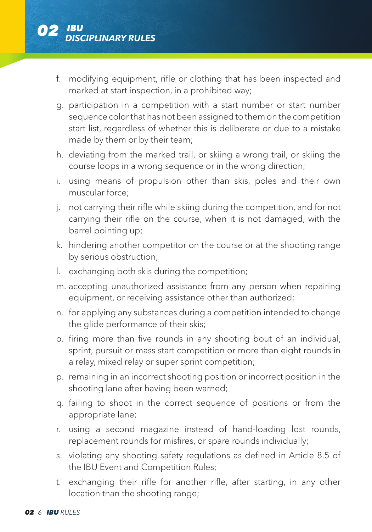

- f. modifying equipment, rifle or clothing that has been inspected and marked at start inspection, in a prohibited way;
- g. participation in a competition with a start number or start number sequence color that has not been assigned to them on the competition start list, regardless of whether this is deliberate or due to a mistake made by them or by their team;
- h. deviating from the marked trail, or skiing a wrong trail, or skiing the course loops in a wrong sequence or in the wrong direction;
- i. using means of propulsion other than skis, poles and their own muscular force;
- j. not carrying their rifle while skiing during the competition, and for not carrying their rifle on the course, when it is not damaged, with the barrel pointing up;
- k. hindering another competitor on the course or at the shooting range by serious obstruction;
- l. exchanging both skis during the competition;
- m. accepting unauthorized assistance from any person when repairing equipment, or receiving assistance other than authorized:
- n. for applying any substances during a competition intended to change the glide performance of their skis:
- o. firing more than five rounds in any shooting bout of an individual, sprint, pursuit or mass start competition or more than eight rounds in a relay, mixed relay or super sprint competition;
- p. remaining in an incorrect shooting position or incorrect position in the shooting lane after having been warned;
- q. failing to shoot in the correct sequence of positions or from the appropriate lane;
- r. using a second magazine instead of hand-loading lost rounds, replacement rounds for misfires, or spare rounds individually;
- s. violating any shooting safety regulations as defined in Article 8.5 of the IBU Event and Competition Rules;
- t. exchanging their rifle for another rifle, after starting, in any other location than the shooting range;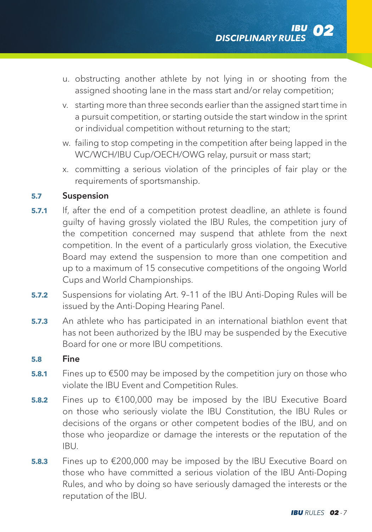- u. obstructing another athlete by not lying in or shooting from the assigned shooting lane in the mass start and/or relay competition;
- v. starting more than three seconds earlier than the assigned start time in a pursuit competition, or starting outside the start window in the sprint or individual competition without returning to the start;
- w. failing to stop competing in the competition after being lapped in the WC/WCH/IBU Cup/OECH/OWG relay, pursuit or mass start;
- x. committing a serious violation of the principles of fair play or the requirements of sportsmanship.

### **5.7** Suspension

- **5.7.1** If, after the end of a competition protest deadline, an athlete is found guilty of having grossly violated the IBU Rules, the competition jury of the competition concerned may suspend that athlete from the next competition. In the event of a particularly gross violation, the Executive Board may extend the suspension to more than one competition and up to a maximum of 15 consecutive competitions of the ongoing World Cups and World Championships.
- **5.7.2** Suspensions for violating Art. 9–11 of the IBU Anti-Doping Rules will be issued by the Anti-Doping Hearing Panel.
- **5.7.3** An athlete who has participated in an international biathlon event that has not been authorized by the IBU may be suspended by the Executive Board for one or more IBU competitions.

#### **5.8** Fine

- **5.8.1** Fines up to €500 may be imposed by the competition jury on those who violate the IBU Event and Competition Rules.
- **5.8.2** Fines up to €100,000 may be imposed by the IBU Executive Board on those who seriously violate the IBU Constitution, the IBU Rules or decisions of the organs or other competent bodies of the IBU, and on those who jeopardize or damage the interests or the reputation of the IBU.
- **5.8.3** Fines up to €200,000 may be imposed by the IBU Executive Board on those who have committed a serious violation of the IBU Anti-Doping Rules, and who by doing so have seriously damaged the interests or the reputation of the IBU.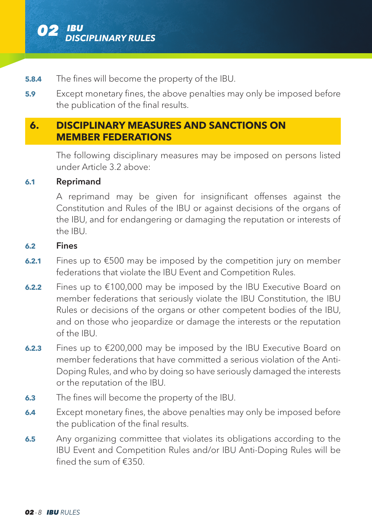

- **5.8.4** The fines will become the property of the IBU.
- **5.9 Except monetary fines, the above penalties may only be imposed before** the publication of the final results.

## **6. DISCIPLINARY MEASURES AND SANCTIONS ON MEMBER FEDERATIONS**

The following disciplinary measures may be imposed on persons listed under Article 3.2 above:

#### **6.1** Reprimand

A reprimand may be given for insignificant offenses against the Constitution and Rules of the IBU or against decisions of the organs of the IBU, and for endangering or damaging the reputation or interests of the IBU.

#### **6.2** Fines

- **6.2.1** Fines up to €500 may be imposed by the competition jury on member federations that violate the IBU Event and Competition Rules.
- **6.2.2** Fines up to €100,000 may be imposed by the IBU Executive Board on member federations that seriously violate the IBU Constitution, the IBU Rules or decisions of the organs or other competent bodies of the IBU, and on those who jeopardize or damage the interests or the reputation of the IBU.
- **6.2.3** Fines up to €200,000 may be imposed by the IBU Executive Board on member federations that have committed a serious violation of the Anti-Doping Rules, and who by doing so have seriously damaged the interests or the reputation of the IBU.
- **6.3** The fines will become the property of the IBU.
- **6.4** Except monetary fines, the above penalties may only be imposed before the publication of the final results.
- **6.5** Any organizing committee that violates its obligations according to the IBU Event and Competition Rules and/or IBU Anti-Doping Rules will be fined the sum of €350.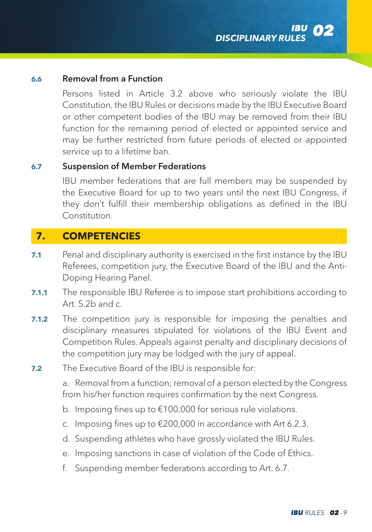### **6.6** Removal from a Function

Persons listed in Article 3.2 above who seriously violate the IBU Constitution, the IBU Rules or decisions made by the IBU Executive Board or other competent bodies of the IBU may be removed from their IBU function for the remaining period of elected or appointed service and may be further restricted from future periods of elected or appointed service up to a lifetime ban.

#### **6.7** Suspension of Member Federations

IBU member federations that are full members may be suspended by the Executive Board for up to two years until the next IBU Congress, if they don't fulfill their membership obligations as defined in the IBU Constitution.

## **7. COMPETENCIES**

- **7.1** Penal and disciplinary authority is exercised in the first instance by the IBU Referees, competition jury, the Executive Board of the IBU and the Anti-Doping Hearing Panel.
- **7.1.1** The responsible IBU Referee is to impose start prohibitions according to  $Art. 5.2b. and c.$
- **7.1.2** The competition jury is responsible for imposing the penalties and disciplinary measures stipulated for violations of the IBU Event and Competition Rules. Appeals against penalty and disciplinary decisions of the competition jury may be lodged with the jury of appeal.
- **7.2** The Executive Board of the IBU is responsible for:

a. Removal from a function; removal of a person elected by the Congress from his/her function requires confirmation by the next Congress.

- b. Imposing fines up to €100,000 for serious rule violations.
- c. Imposing fines up to €200,000 in accordance with Art 6.2.3.
- d. Suspending athletes who have grossly violated the IBU Rules.
- e. Imposing sanctions in case of violation of the Code of Ethics.
- f. Suspending member federations according to Art. 6.7.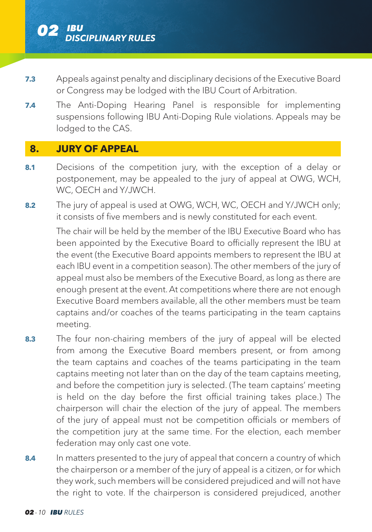

- **7.3** Appeals against penalty and disciplinary decisions of the Executive Board or Congress may be lodged with the IBU Court of Arbitration.
- **7.4** The Anti-Doping Hearing Panel is responsible for implementing suspensions following IBU Anti-Doping Rule violations. Appeals may be lodged to the CAS.

# **8. JURY OF APPEAL**

- **8.1** Decisions of the competition jury, with the exception of a delay or postponement, may be appealed to the jury of appeal at OWG, WCH, WC, OECH and Y/JWCH.
- **8.2** The jury of appeal is used at OWG, WCH, WC, OECH and Y/JWCH only; it consists of five members and is newly constituted for each event.

The chair will be held by the member of the IBU Executive Board who has been appointed by the Executive Board to officially represent the IBU at the event (the Executive Board appoints members to represent the IBU at each IBU event in a competition season). The other members of the jury of appeal must also be members of the Executive Board, as long as there are enough present at the event. At competitions where there are not enough Executive Board members available, all the other members must be team captains and/or coaches of the teams participating in the team captains meeting.

- **8.3** The four non-chairing members of the jury of appeal will be elected from among the Executive Board members present, or from among the team captains and coaches of the teams participating in the team captains meeting not later than on the day of the team captains meeting, and before the competition jury is selected. (The team captains' meeting is held on the day before the first official training takes place.) The chairperson will chair the election of the jury of appeal. The members of the jury of appeal must not be competition officials or members of the competition jury at the same time. For the election, each member federation may only cast one vote.
- **8.4** In matters presented to the jury of appeal that concern a country of which the chairperson or a member of the jury of appeal is a citizen, or for which they work, such members will be considered prejudiced and will not have the right to vote. If the chairperson is considered prejudiced, another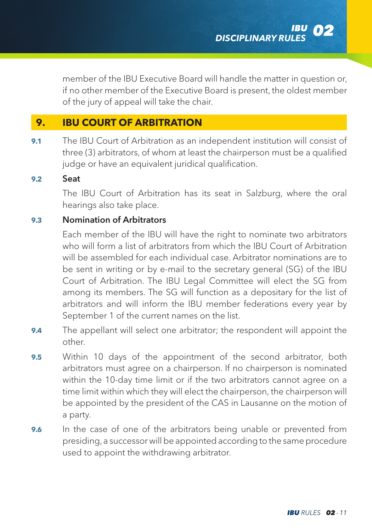member of the IBU Executive Board will handle the matter in question or, if no other member of the Executive Board is present, the oldest member of the jury of appeal will take the chair.

# **9. IBU COURT OF ARBITRATION**

**9.1** The IBU Court of Arbitration as an independent institution will consist of three (3) arbitrators, of whom at least the chairperson must be a qualified judge or have an equivalent juridical qualification.

### **9.2** Seat

The IBU Court of Arbitration has its seat in Salzburg, where the oral hearings also take place.

### **9.3** Nomination of Arbitrators

Each member of the IBU will have the right to nominate two arbitrators who will form a list of arbitrators from which the IBU Court of Arbitration will be assembled for each individual case. Arbitrator nominations are to be sent in writing or by e-mail to the secretary general (SG) of the IBU Court of Arbitration. The IBU Legal Committee will elect the SG from among its members. The SG will function as a depositary for the list of arbitrators and will inform the IBU member federations every year by September 1 of the current names on the list.

- **9.4** The appellant will select one arbitrator; the respondent will appoint the other.
- **9.5** Within 10 days of the appointment of the second arbitrator, both arbitrators must agree on a chairperson. If no chairperson is nominated within the 10-day time limit or if the two arbitrators cannot agree on a time limit within which they will elect the chairperson, the chairperson will be appointed by the president of the CAS in Lausanne on the motion of a party.
- **9.6** In the case of one of the arbitrators being unable or prevented from presiding, a successor will be appointed according to the same procedure used to appoint the withdrawing arbitrator.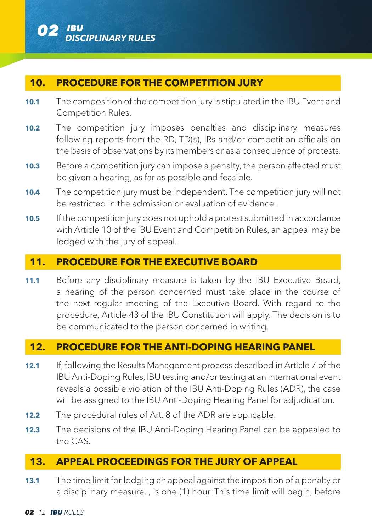

### **10. PROCEDURE FOR THE COMPETITION JURY**

- **10.1** The composition of the competition jury is stipulated in the IBU Event and Competition Rules.
- **10.2** The competition jury imposes penalties and disciplinary measures following reports from the RD, TD(s), IRs and/or competition officials on the basis of observations by its members or as a consequence of protests.
- **10.3** Before a competition jury can impose a penalty, the person affected must be given a hearing, as far as possible and feasible.
- **10.4** The competition jury must be independent. The competition jury will not be restricted in the admission or evaluation of evidence.
- **10.5** If the competition jury does not uphold a protest submitted in accordance with Article 10 of the IBU Event and Competition Rules, an appeal may be lodged with the jury of appeal.

### **11. PROCEDURE FOR THE EXECUTIVE BOARD**

**11.1** Before any disciplinary measure is taken by the IBU Executive Board, a hearing of the person concerned must take place in the course of the next regular meeting of the Executive Board. With regard to the procedure, Article 43 of the IBU Constitution will apply. The decision is to be communicated to the person concerned in writing.

### **12. PROCEDURE FOR THE ANTI-DOPING HEARING PANEL**

- **12.1** If, following the Results Management process described in Article 7 of the IBU Anti-Doping Rules, IBU testing and/or testing at an international event reveals a possible violation of the IBU Anti-Doping Rules (ADR), the case will be assigned to the IBU Anti-Doping Hearing Panel for adjudication.
- **12.2** The procedural rules of Art. 8 of the ADR are applicable.
- **12.3** The decisions of the IBU Anti-Doping Hearing Panel can be appealed to the CAS.

### **13. APPEAL PROCEEDINGS FOR THE JURY OF APPEAL**

**13.1** The time limit for lodging an appeal against the imposition of a penalty or a disciplinary measure, , is one (1) hour. This time limit will begin, before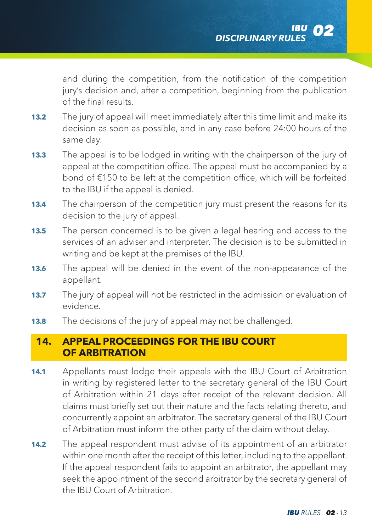and during the competition, from the notification of the competition jury's decision and, after a competition, beginning from the publication of the final results.

- **13.2** The jury of appeal will meet immediately after this time limit and make its decision as soon as possible, and in any case before 24:00 hours of the same day.
- **13.3** The appeal is to be lodged in writing with the chairperson of the jury of appeal at the competition office. The appeal must be accompanied by a bond of €150 to be left at the competition office, which will be forfeited to the IBU if the appeal is denied.
- **13.4** The chairperson of the competition jury must present the reasons for its decision to the jury of appeal.
- **13.5** The person concerned is to be given a legal hearing and access to the services of an adviser and interpreter. The decision is to be submitted in writing and be kept at the premises of the IBU.
- **13.6** The appeal will be denied in the event of the non-appearance of the appellant.
- **13.7** The jury of appeal will not be restricted in the admission or evaluation of evidence.
- **13.8** The decisions of the jury of appeal may not be challenged.

# **14. APPEAL PROCEEDINGS FOR THE IBU COURT OF ARBITRATION**

- **14.1** Appellants must lodge their appeals with the IBU Court of Arbitration in writing by registered letter to the secretary general of the IBU Court of Arbitration within 21 days after receipt of the relevant decision. All claims must briefly set out their nature and the facts relating thereto, and concurrently appoint an arbitrator. The secretary general of the IBU Court of Arbitration must inform the other party of the claim without delay.
- **14.2** The appeal respondent must advise of its appointment of an arbitrator within one month after the receipt of this letter, including to the appellant. If the appeal respondent fails to appoint an arbitrator, the appellant may seek the appointment of the second arbitrator by the secretary general of the IBU Court of Arbitration.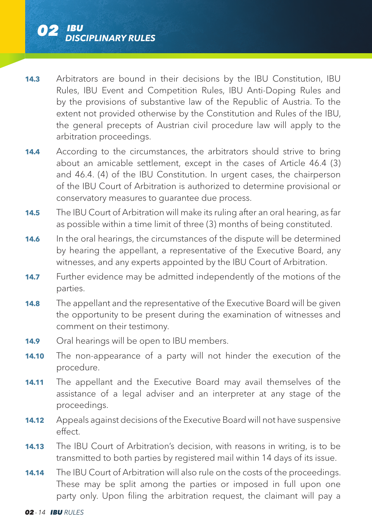

- **14.3** Arbitrators are bound in their decisions by the IBU Constitution, IBU Rules, IBU Event and Competition Rules, IBU Anti-Doping Rules and by the provisions of substantive law of the Republic of Austria. To the extent not provided otherwise by the Constitution and Rules of the IBU, the general precepts of Austrian civil procedure law will apply to the arbitration proceedings.
- **14.4** According to the circumstances, the arbitrators should strive to bring about an amicable settlement, except in the cases of Article 46.4 (3) and 46.4. (4) of the IBU Constitution. In urgent cases, the chairperson of the IBU Court of Arbitration is authorized to determine provisional or conservatory measures to guarantee due process.
- **14.5** The IBU Court of Arbitration will make its ruling after an oral hearing, as far as possible within a time limit of three (3) months of being constituted.
- **14.6** In the oral hearings, the circumstances of the dispute will be determined by hearing the appellant, a representative of the Executive Board, any witnesses, and any experts appointed by the IBU Court of Arbitration.
- **14.7** Further evidence may be admitted independently of the motions of the parties.
- **14.8** The appellant and the representative of the Executive Board will be given the opportunity to be present during the examination of witnesses and comment on their testimony.
- **14.9** Oral hearings will be open to IBU members.
- **14.10** The non-appearance of a party will not hinder the execution of the procedure.
- **14.11** The appellant and the Executive Board may avail themselves of the assistance of a legal adviser and an interpreter at any stage of the proceedings.
- **14.12** Appeals against decisions of the Executive Board will not have suspensive effect.
- **14.13** The IBU Court of Arbitration's decision, with reasons in writing, is to be transmitted to both parties by registered mail within 14 days of its issue.
- **14.14** The IBU Court of Arbitration will also rule on the costs of the proceedings. These may be split among the parties or imposed in full upon one party only. Upon filing the arbitration request, the claimant will pay a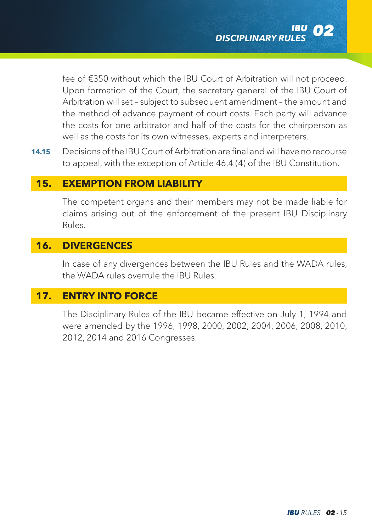fee of €350 without which the IBU Court of Arbitration will not proceed. Upon formation of the Court, the secretary general of the IBU Court of Arbitration will set – subject to subsequent amendment – the amount and the method of advance payment of court costs. Each party will advance the costs for one arbitrator and half of the costs for the chairperson as well as the costs for its own witnesses, experts and interpreters.

**14.15** Decisions of the IBU Court of Arbitration are final and will have no recourse to appeal, with the exception of Article 46.4 (4) of the IBU Constitution.

## **15. EXEMPTION FROM LIABILITY**

The competent organs and their members may not be made liable for claims arising out of the enforcement of the present IBU Disciplinary Rules.

### **16. DIVERGENCES**

In case of any divergences between the IBU Rules and the WADA rules, the WADA rules overrule the IBU Rules.

## **17. ENTRY INTO FORCE**

The Disciplinary Rules of the IBU became effective on July 1, 1994 and were amended by the 1996, 1998, 2000, 2002, 2004, 2006, 2008, 2010, 2012, 2014 and 2016 Congresses.